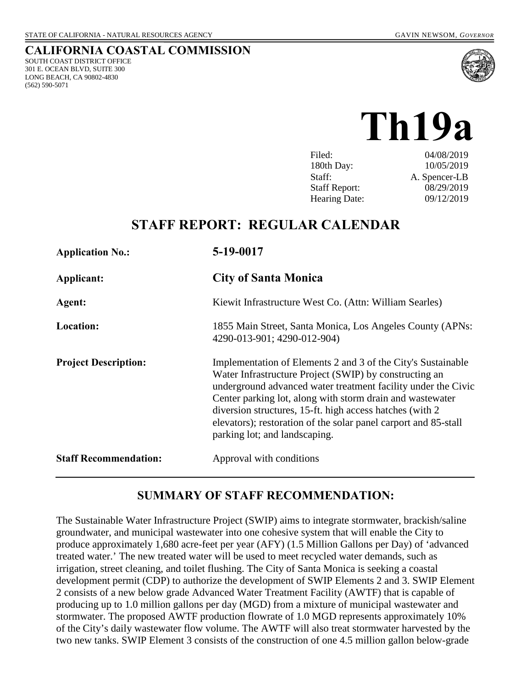SOUTH COAST DISTRICT OFFICE 301 E. OCEAN BLVD, SUITE 300 LONG BEACH, CA 90802-4830

(562) 590-5071

**CALIFORNIA COASTAL COMMISSION**



**Th19a** 

| 04/08/2019    |
|---------------|
| 10/05/2019    |
| A. Spencer-LB |
| 08/29/2019    |
| 09/12/2019    |
|               |

# **STAFF REPORT: REGULAR CALENDAR**

| <b>Application No.:</b>      | 5-19-0017                                                                                                                                                                                                                                                                                                                                                                                                             |
|------------------------------|-----------------------------------------------------------------------------------------------------------------------------------------------------------------------------------------------------------------------------------------------------------------------------------------------------------------------------------------------------------------------------------------------------------------------|
| Applicant:                   | <b>City of Santa Monica</b>                                                                                                                                                                                                                                                                                                                                                                                           |
| Agent:                       | Kiewit Infrastructure West Co. (Attn: William Searles)                                                                                                                                                                                                                                                                                                                                                                |
| <b>Location:</b>             | 1855 Main Street, Santa Monica, Los Angeles County (APNs:<br>4290-013-901; 4290-012-904)                                                                                                                                                                                                                                                                                                                              |
| <b>Project Description:</b>  | Implementation of Elements 2 and 3 of the City's Sustainable<br>Water Infrastructure Project (SWIP) by constructing an<br>underground advanced water treatment facility under the Civic<br>Center parking lot, along with storm drain and wastewater<br>diversion structures, 15-ft. high access hatches (with 2)<br>elevators); restoration of the solar panel carport and 85-stall<br>parking lot; and landscaping. |
| <b>Staff Recommendation:</b> | Approval with conditions                                                                                                                                                                                                                                                                                                                                                                                              |

## **SUMMARY OF STAFF RECOMMENDATION:**

The Sustainable Water Infrastructure Project (SWIP) aims to integrate stormwater, brackish/saline groundwater, and municipal wastewater into one cohesive system that will enable the City to produce approximately 1,680 acre-feet per year (AFY) (1.5 Million Gallons per Day) of 'advanced treated water.' The new treated water will be used to meet recycled water demands, such as irrigation, street cleaning, and toilet flushing. The City of Santa Monica is seeking a coastal development permit (CDP) to authorize the development of SWIP Elements 2 and 3. SWIP Element 2 consists of a new below grade Advanced Water Treatment Facility (AWTF) that is capable of producing up to 1.0 million gallons per day (MGD) from a mixture of municipal wastewater and stormwater. The proposed AWTF production flowrate of 1.0 MGD represents approximately 10% of the City's daily wastewater flow volume. The AWTF will also treat stormwater harvested by the two new tanks. SWIP Element 3 consists of the construction of one 4.5 million gallon below-grade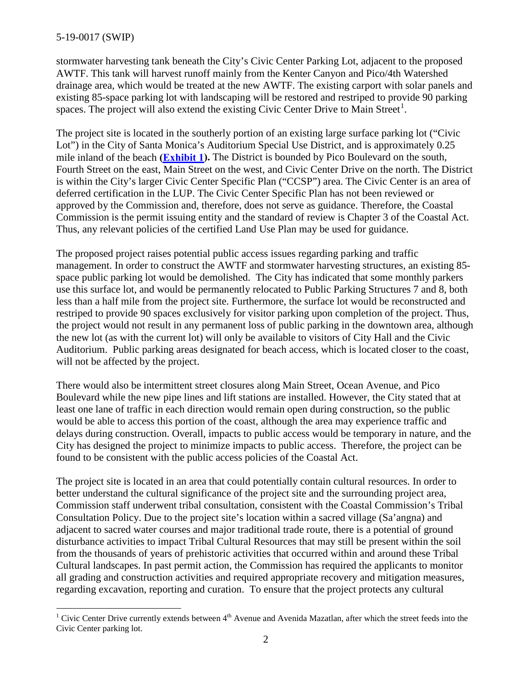stormwater harvesting tank beneath the City's Civic Center Parking Lot, adjacent to the proposed AWTF. This tank will harvest runoff mainly from the Kenter Canyon and Pico/4th Watershed drainage area, which would be treated at the new AWTF. The existing carport with solar panels and existing 85-space parking lot with landscaping will be restored and restriped to provide 90 parking spaces. The project will also extend the existing Civic Center Drive to Main Street<sup>[1](#page-1-0)</sup>.

The project site is located in the southerly portion of an existing large surface parking lot ("Civic Lot") in the City of Santa Monica's Auditorium Special Use District, and is approximately 0.25 mile inland of the beach **[\(Exhibit 1\)](https://documents.coastal.ca.gov/reports/2019/Th19a/Th19a--2019-exhibits.pdf).** The District is bounded by Pico Boulevard on the south, Fourth Street on the east, Main Street on the west, and Civic Center Drive on the north. The District is within the City's larger Civic Center Specific Plan ("CCSP") area. The Civic Center is an area of deferred certification in the LUP. The Civic Center Specific Plan has not been reviewed or approved by the Commission and, therefore, does not serve as guidance. Therefore, the Coastal Commission is the permit issuing entity and the standard of review is Chapter 3 of the Coastal Act. Thus, any relevant policies of the certified Land Use Plan may be used for guidance.

The proposed project raises potential public access issues regarding parking and traffic management. In order to construct the AWTF and stormwater harvesting structures, an existing 85 space public parking lot would be demolished. The City has indicated that some monthly parkers use this surface lot, and would be permanently relocated to Public Parking Structures 7 and 8, both less than a half mile from the project site. Furthermore, the surface lot would be reconstructed and restriped to provide 90 spaces exclusively for visitor parking upon completion of the project. Thus, the project would not result in any permanent loss of public parking in the downtown area, although the new lot (as with the current lot) will only be available to visitors of City Hall and the Civic Auditorium. Public parking areas designated for beach access, which is located closer to the coast, will not be affected by the project.

There would also be intermittent street closures along Main Street, Ocean Avenue, and Pico Boulevard while the new pipe lines and lift stations are installed. However, the City stated that at least one lane of traffic in each direction would remain open during construction, so the public would be able to access this portion of the coast, although the area may experience traffic and delays during construction. Overall, impacts to public access would be temporary in nature, and the City has designed the project to minimize impacts to public access. Therefore, the project can be found to be consistent with the public access policies of the Coastal Act.

The project site is located in an area that could potentially contain cultural resources. In order to better understand the cultural significance of the project site and the surrounding project area, Commission staff underwent tribal consultation, consistent with the Coastal Commission's Tribal Consultation Policy. Due to the project site's location within a sacred village (Sa'angna) and adjacent to sacred water courses and major traditional trade route, there is a potential of ground disturbance activities to impact Tribal Cultural Resources that may still be present within the soil from the thousands of years of prehistoric activities that occurred within and around these Tribal Cultural landscapes. In past permit action, the Commission has required the applicants to monitor all grading and construction activities and required appropriate recovery and mitigation measures, regarding excavation, reporting and curation. To ensure that the project protects any cultural

<span id="page-1-0"></span> $\overline{a}$ <sup>1</sup> Civic Center Drive currently extends between  $4<sup>th</sup>$  Avenue and Avenida Mazatlan, after which the street feeds into the Civic Center parking lot.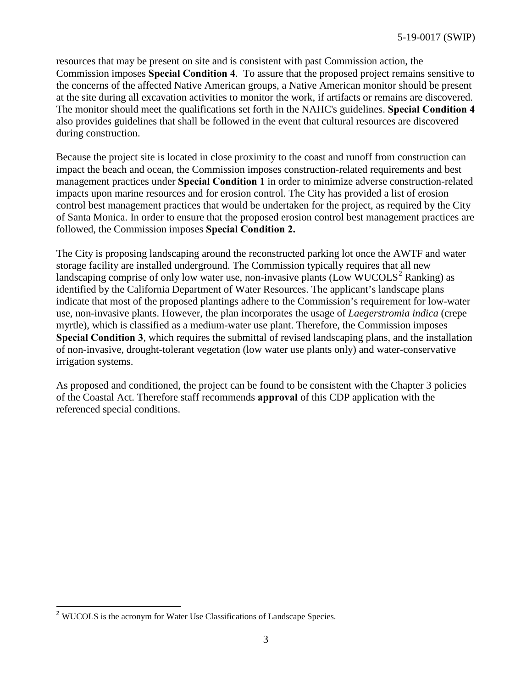resources that may be present on site and is consistent with past Commission action, the Commission imposes **Special Condition 4**. To assure that the proposed project remains sensitive to the concerns of the affected Native American groups, a Native American monitor should be present at the site during all excavation activities to monitor the work, if artifacts or remains are discovered. The monitor should meet the qualifications set forth in the NAHC's guidelines. **Special Condition 4**  also provides guidelines that shall be followed in the event that cultural resources are discovered during construction.

Because the project site is located in close proximity to the coast and runoff from construction can impact the beach and ocean, the Commission imposes construction-related requirements and best management practices under **Special Condition 1** in order to minimize adverse construction-related impacts upon marine resources and for erosion control. The City has provided a list of erosion control best management practices that would be undertaken for the project, as required by the City of Santa Monica. In order to ensure that the proposed erosion control best management practices are followed, the Commission imposes **Special Condition 2.** 

The City is proposing landscaping around the reconstructed parking lot once the AWTF and water storage facility are installed underground. The Commission typically requires that all new landscaping comprise of only low water use, non-invasive plants (Low WUCOLS<sup>[2](#page-2-0)</sup> Ranking) as identified by the California Department of Water Resources. The applicant's landscape plans indicate that most of the proposed plantings adhere to the Commission's requirement for low-water use, non-invasive plants. However, the plan incorporates the usage of *Laegerstromia indica* (crepe myrtle), which is classified as a medium-water use plant. Therefore, the Commission imposes **Special Condition 3**, which requires the submittal of revised landscaping plans, and the installation of non-invasive, drought-tolerant vegetation (low water use plants only) and water-conservative irrigation systems.

As proposed and conditioned, the project can be found to be consistent with the Chapter 3 policies of the Coastal Act. Therefore staff recommends **approval** of this CDP application with the referenced special conditions.

<span id="page-2-0"></span> $\overline{\phantom{a}}$ <sup>2</sup> WUCOLS is the acronym for Water Use Classifications of Landscape Species.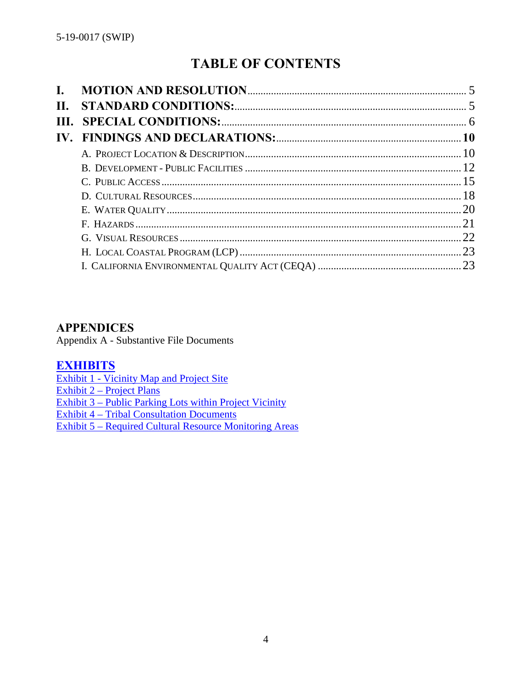# **TABLE OF CONTENTS**

| Н. |  |
|----|--|
|    |  |
|    |  |
|    |  |
|    |  |
|    |  |
|    |  |
|    |  |
|    |  |
|    |  |
|    |  |
|    |  |

## **APPENDICES**

Appendix A - Substantive File Documents

## **[EXHIBITS](https://documents.coastal.ca.gov/reports/2019/Th19a/Th19a--2019-exhibits.pdf)**

[Exhibit 1 - Vicinity Map](https://documents.coastal.ca.gov/reports/2019/Th19a/Th19a--2019-exhibits.pdf) and Project Site

[Exhibit 2 – Project Plans](https://documents.coastal.ca.gov/reports/2019/Th19a/Th19a--2019-exhibits.pdf) 

[Exhibit 3 – Public Parking Lots within Project Vicinity](https://documents.coastal.ca.gov/reports/2019/Th19a/Th19a--2019-exhibits.pdf)

[Exhibit 4 – Tribal Consultation Documents](https://documents.coastal.ca.gov/reports/2019/Th19a/Th19a--2019-exhibits.pdf) 

[Exhibit 5 – Required Cultural Resource Monitoring Areas](https://documents.coastal.ca.gov/reports/2019/Th19a/Th19a--2019-exhibits.pdf)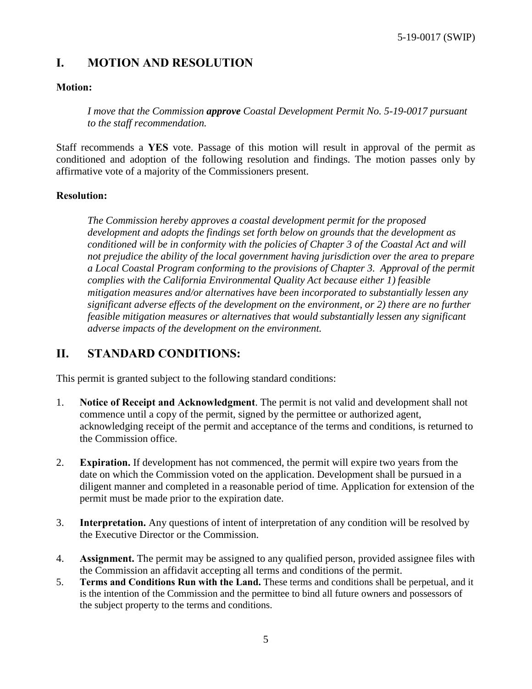## <span id="page-4-0"></span>**I. MOTION AND RESOLUTION**

#### **Motion:**

*I move that the Commission approve Coastal Development Permit No. 5-19-0017 pursuant to the staff recommendation.*

Staff recommends a **YES** vote. Passage of this motion will result in approval of the permit as conditioned and adoption of the following resolution and findings. The motion passes only by affirmative vote of a majority of the Commissioners present.

#### **Resolution:**

*The Commission hereby approves a coastal development permit for the proposed development and adopts the findings set forth below on grounds that the development as conditioned will be in conformity with the policies of Chapter 3 of the Coastal Act and will not prejudice the ability of the local government having jurisdiction over the area to prepare a Local Coastal Program conforming to the provisions of Chapter 3. Approval of the permit complies with the California Environmental Quality Act because either 1) feasible mitigation measures and/or alternatives have been incorporated to substantially lessen any significant adverse effects of the development on the environment, or 2) there are no further feasible mitigation measures or alternatives that would substantially lessen any significant adverse impacts of the development on the environment.*

## <span id="page-4-1"></span>**II. STANDARD CONDITIONS:**

This permit is granted subject to the following standard conditions:

- 1. **Notice of Receipt and Acknowledgment**. The permit is not valid and development shall not commence until a copy of the permit, signed by the permittee or authorized agent, acknowledging receipt of the permit and acceptance of the terms and conditions, is returned to the Commission office.
- 2. **Expiration.** If development has not commenced, the permit will expire two years from the date on which the Commission voted on the application. Development shall be pursued in a diligent manner and completed in a reasonable period of time. Application for extension of the permit must be made prior to the expiration date.
- 3. **Interpretation.** Any questions of intent of interpretation of any condition will be resolved by the Executive Director or the Commission.
- 4. **Assignment.** The permit may be assigned to any qualified person, provided assignee files with the Commission an affidavit accepting all terms and conditions of the permit.
- 5. **Terms and Conditions Run with the Land.** These terms and conditions shall be perpetual, and it is the intention of the Commission and the permittee to bind all future owners and possessors of the subject property to the terms and conditions.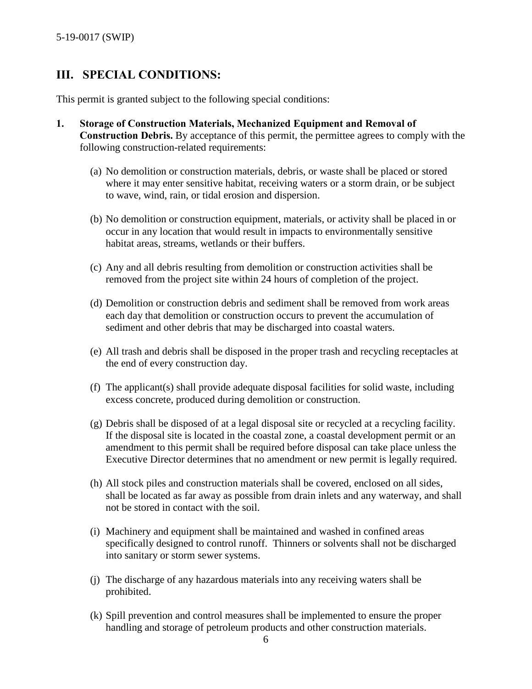## <span id="page-5-0"></span>**III. SPECIAL CONDITIONS:**

This permit is granted subject to the following special conditions:

- **1. Storage of Construction Materials, Mechanized Equipment and Removal of Construction Debris.** By acceptance of this permit, the permittee agrees to comply with the following construction-related requirements:
	- (a) No demolition or construction materials, debris, or waste shall be placed or stored where it may enter sensitive habitat, receiving waters or a storm drain, or be subject to wave, wind, rain, or tidal erosion and dispersion.
	- (b) No demolition or construction equipment, materials, or activity shall be placed in or occur in any location that would result in impacts to environmentally sensitive habitat areas, streams, wetlands or their buffers.
	- (c) Any and all debris resulting from demolition or construction activities shall be removed from the project site within 24 hours of completion of the project.
	- (d) Demolition or construction debris and sediment shall be removed from work areas each day that demolition or construction occurs to prevent the accumulation of sediment and other debris that may be discharged into coastal waters.
	- (e) All trash and debris shall be disposed in the proper trash and recycling receptacles at the end of every construction day.
	- (f) The applicant(s) shall provide adequate disposal facilities for solid waste, including excess concrete, produced during demolition or construction.
	- (g) Debris shall be disposed of at a legal disposal site or recycled at a recycling facility. If the disposal site is located in the coastal zone, a coastal development permit or an amendment to this permit shall be required before disposal can take place unless the Executive Director determines that no amendment or new permit is legally required.
	- (h) All stock piles and construction materials shall be covered, enclosed on all sides, shall be located as far away as possible from drain inlets and any waterway, and shall not be stored in contact with the soil.
	- (i) Machinery and equipment shall be maintained and washed in confined areas specifically designed to control runoff. Thinners or solvents shall not be discharged into sanitary or storm sewer systems.
	- (j) The discharge of any hazardous materials into any receiving waters shall be prohibited.
	- (k) Spill prevention and control measures shall be implemented to ensure the proper handling and storage of petroleum products and other construction materials.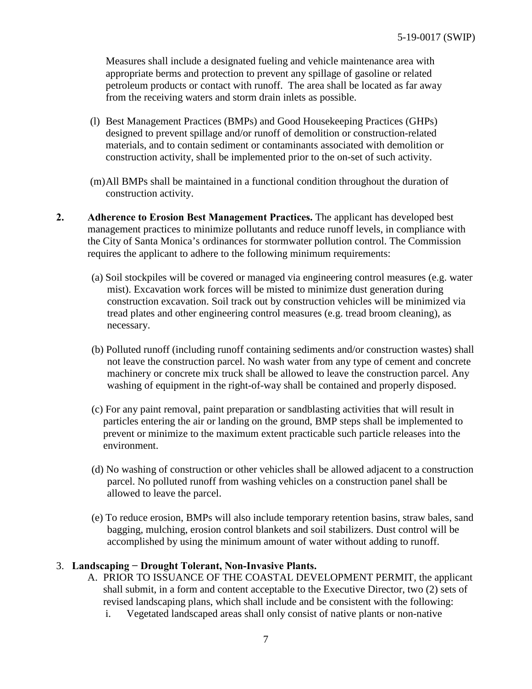Measures shall include a designated fueling and vehicle maintenance area with appropriate berms and protection to prevent any spillage of gasoline or related petroleum products or contact with runoff. The area shall be located as far away from the receiving waters and storm drain inlets as possible.

- (l) Best Management Practices (BMPs) and Good Housekeeping Practices (GHPs) designed to prevent spillage and/or runoff of demolition or construction-related materials, and to contain sediment or contaminants associated with demolition or construction activity, shall be implemented prior to the on-set of such activity.
- (m)All BMPs shall be maintained in a functional condition throughout the duration of construction activity.
- **2. Adherence to Erosion Best Management Practices.** The applicant has developed best management practices to minimize pollutants and reduce runoff levels, in compliance with the City of Santa Monica's ordinances for stormwater pollution control. The Commission requires the applicant to adhere to the following minimum requirements:
	- (a) Soil stockpiles will be covered or managed via engineering control measures (e.g. water mist). Excavation work forces will be misted to minimize dust generation during construction excavation. Soil track out by construction vehicles will be minimized via tread plates and other engineering control measures (e.g. tread broom cleaning), as necessary.
	- (b) Polluted runoff (including runoff containing sediments and/or construction wastes) shall not leave the construction parcel. No wash water from any type of cement and concrete machinery or concrete mix truck shall be allowed to leave the construction parcel. Any washing of equipment in the right-of-way shall be contained and properly disposed.
	- (c) For any paint removal, paint preparation or sandblasting activities that will result in particles entering the air or landing on the ground, BMP steps shall be implemented to prevent or minimize to the maximum extent practicable such particle releases into the environment.
	- (d) No washing of construction or other vehicles shall be allowed adjacent to a construction parcel. No polluted runoff from washing vehicles on a construction panel shall be allowed to leave the parcel.
	- (e) To reduce erosion, BMPs will also include temporary retention basins, straw bales, sand bagging, mulching, erosion control blankets and soil stabilizers. Dust control will be accomplished by using the minimum amount of water without adding to runoff.

#### 3. **Landscaping − Drought Tolerant, Non-Invasive Plants.**

- A. PRIOR TO ISSUANCE OF THE COASTAL DEVELOPMENT PERMIT, the applicant shall submit, in a form and content acceptable to the Executive Director, two (2) sets of revised landscaping plans, which shall include and be consistent with the following:
	- i. Vegetated landscaped areas shall only consist of native plants or non-native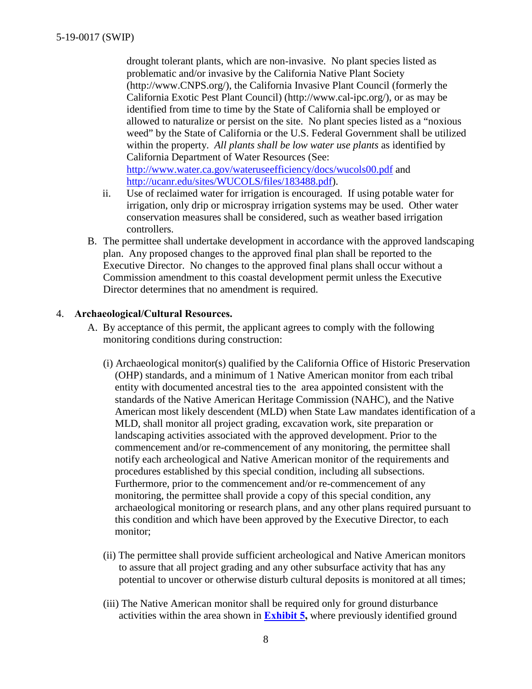drought tolerant plants, which are non-invasive. No plant species listed as problematic and/or invasive by the California Native Plant Society (http://www.CNPS.org/), the California Invasive Plant Council (formerly the California Exotic Pest Plant Council) (http://www.cal-ipc.org/), or as may be identified from time to time by the State of California shall be employed or allowed to naturalize or persist on the site. No plant species listed as a "noxious weed" by the State of California or the U.S. Federal Government shall be utilized within the property. *All plants shall be low water use plants* as identified by California Department of Water Resources (See: <http://www.water.ca.gov/wateruseefficiency/docs/wucols00.pdf> and

[http://ucanr.edu/sites/WUCOLS/files/183488.pdf\)](http://ucanr.edu/sites/WUCOLS/files/183488.pdf).

- ii. Use of reclaimed water for irrigation is encouraged. If using potable water for irrigation, only drip or microspray irrigation systems may be used. Other water conservation measures shall be considered, such as weather based irrigation controllers.
- B. The permittee shall undertake development in accordance with the approved landscaping plan. Any proposed changes to the approved final plan shall be reported to the Executive Director. No changes to the approved final plans shall occur without a Commission amendment to this coastal development permit unless the Executive Director determines that no amendment is required.

#### 4. **Archaeological/Cultural Resources.**

- A. By acceptance of this permit, the applicant agrees to comply with the following monitoring conditions during construction:
	- (i) Archaeological monitor(s) qualified by the California Office of Historic Preservation (OHP) standards, and a minimum of 1 Native American monitor from each tribal entity with documented ancestral ties to the area appointed consistent with the standards of the Native American Heritage Commission (NAHC), and the Native American most likely descendent (MLD) when State Law mandates identification of a MLD, shall monitor all project grading, excavation work, site preparation or landscaping activities associated with the approved development. Prior to the commencement and/or re-commencement of any monitoring, the permittee shall notify each archeological and Native American monitor of the requirements and procedures established by this special condition, including all subsections. Furthermore, prior to the commencement and/or re-commencement of any monitoring, the permittee shall provide a copy of this special condition, any archaeological monitoring or research plans, and any other plans required pursuant to this condition and which have been approved by the Executive Director, to each monitor;
	- (ii) The permittee shall provide sufficient archeological and Native American monitors to assure that all project grading and any other subsurface activity that has any potential to uncover or otherwise disturb cultural deposits is monitored at all times;
	- (iii) The Native American monitor shall be required only for ground disturbance activities within the area shown in **[Exhibit 5,](https://documents.coastal.ca.gov/reports/2019/Th19a/Th19a--2019-exhibits.pdf)** where previously identified ground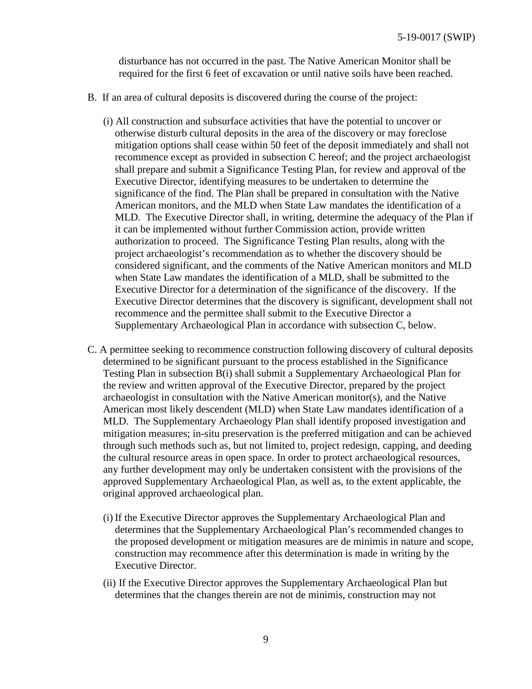disturbance has not occurred in the past. The Native American Monitor shall be required for the first 6 feet of excavation or until native soils have been reached.

- B. If an area of cultural deposits is discovered during the course of the project:
	- (i) All construction and subsurface activities that have the potential to uncover or otherwise disturb cultural deposits in the area of the discovery or may foreclose mitigation options shall cease within 50 feet of the deposit immediately and shall not recommence except as provided in subsection C hereof; and the project archaeologist shall prepare and submit a Significance Testing Plan, for review and approval of the Executive Director, identifying measures to be undertaken to determine the significance of the find. The Plan shall be prepared in consultation with the Native American monitors, and the MLD when State Law mandates the identification of a MLD. The Executive Director shall, in writing, determine the adequacy of the Plan if it can be implemented without further Commission action, provide written authorization to proceed. The Significance Testing Plan results, along with the project archaeologist's recommendation as to whether the discovery should be considered significant, and the comments of the Native American monitors and MLD when State Law mandates the identification of a MLD, shall be submitted to the Executive Director for a determination of the significance of the discovery. If the Executive Director determines that the discovery is significant, development shall not recommence and the permittee shall submit to the Executive Director a Supplementary Archaeological Plan in accordance with subsection C, below.
- C. A permittee seeking to recommence construction following discovery of cultural deposits determined to be significant pursuant to the process established in the Significance Testing Plan in subsection B(i) shall submit a Supplementary Archaeological Plan for the review and written approval of the Executive Director, prepared by the project archaeologist in consultation with the Native American monitor(s), and the Native American most likely descendent (MLD) when State Law mandates identification of a MLD. The Supplementary Archaeology Plan shall identify proposed investigation and mitigation measures; in-situ preservation is the preferred mitigation and can be achieved through such methods such as, but not limited to, project redesign, capping, and deeding the cultural resource areas in open space. In order to protect archaeological resources, any further development may only be undertaken consistent with the provisions of the approved Supplementary Archaeological Plan, as well as, to the extent applicable, the original approved archaeological plan.
	- (i) If the Executive Director approves the Supplementary Archaeological Plan and determines that the Supplementary Archaeological Plan's recommended changes to the proposed development or mitigation measures are de minimis in nature and scope, construction may recommence after this determination is made in writing by the Executive Director.
	- (ii) If the Executive Director approves the Supplementary Archaeological Plan but determines that the changes therein are not de minimis, construction may not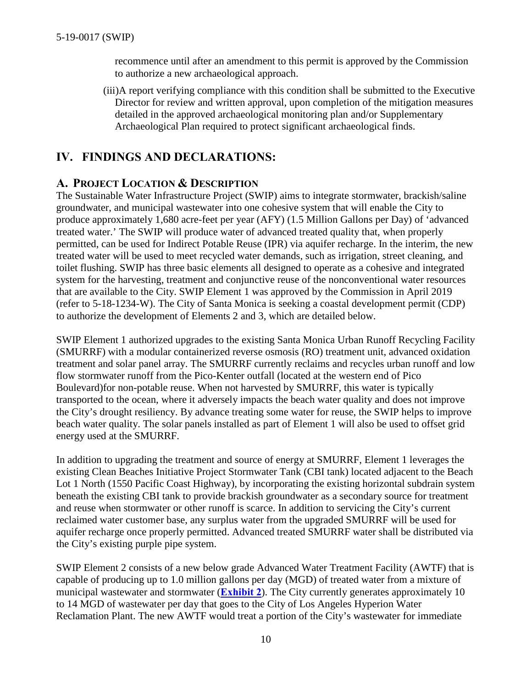recommence until after an amendment to this permit is approved by the Commission to authorize a new archaeological approach.

(iii)A report verifying compliance with this condition shall be submitted to the Executive Director for review and written approval, upon completion of the mitigation measures detailed in the approved archaeological monitoring plan and/or Supplementary Archaeological Plan required to protect significant archaeological finds.

## <span id="page-9-0"></span>**IV. FINDINGS AND DECLARATIONS:**

## <span id="page-9-1"></span>**A. PROJECT LOCATION & DESCRIPTION**

The Sustainable Water Infrastructure Project (SWIP) aims to integrate stormwater, brackish/saline groundwater, and municipal wastewater into one cohesive system that will enable the City to produce approximately 1,680 acre-feet per year (AFY) (1.5 Million Gallons per Day) of 'advanced treated water.' The SWIP will produce water of advanced treated quality that, when properly permitted, can be used for Indirect Potable Reuse (IPR) via aquifer recharge. In the interim, the new treated water will be used to meet recycled water demands, such as irrigation, street cleaning, and toilet flushing. SWIP has three basic elements all designed to operate as a cohesive and integrated system for the harvesting, treatment and conjunctive reuse of the nonconventional water resources that are available to the City. SWIP Element 1 was approved by the Commission in April 2019 (refer to 5-18-1234-W). The City of Santa Monica is seeking a coastal development permit (CDP) to authorize the development of Elements 2 and 3, which are detailed below.

SWIP Element 1 authorized upgrades to the existing Santa Monica Urban Runoff Recycling Facility (SMURRF) with a modular containerized reverse osmosis (RO) treatment unit, advanced oxidation treatment and solar panel array. The SMURRF currently reclaims and recycles urban runoff and low flow stormwater runoff from the Pico-Kenter outfall (located at the western end of Pico Boulevard)for non-potable reuse. When not harvested by SMURRF, this water is typically transported to the ocean, where it adversely impacts the beach water quality and does not improve the City's drought resiliency. By advance treating some water for reuse, the SWIP helps to improve beach water quality. The solar panels installed as part of Element 1 will also be used to offset grid energy used at the SMURRF.

In addition to upgrading the treatment and source of energy at SMURRF, Element 1 leverages the existing Clean Beaches Initiative Project Stormwater Tank (CBI tank) located adjacent to the Beach Lot 1 North (1550 Pacific Coast Highway), by incorporating the existing horizontal subdrain system beneath the existing CBI tank to provide brackish groundwater as a secondary source for treatment and reuse when stormwater or other runoff is scarce. In addition to servicing the City's current reclaimed water customer base, any surplus water from the upgraded SMURRF will be used for aquifer recharge once properly permitted. Advanced treated SMURRF water shall be distributed via the City's existing purple pipe system.

SWIP Element 2 consists of a new below grade Advanced Water Treatment Facility (AWTF) that is capable of producing up to 1.0 million gallons per day (MGD) of treated water from a mixture of municipal wastewater and stormwater (**[Exhibit 2](https://documents.coastal.ca.gov/reports/2019/Th19a/Th19a--2019-exhibits.pdf)**). The City currently generates approximately 10 to 14 MGD of wastewater per day that goes to the City of Los Angeles Hyperion Water Reclamation Plant. The new AWTF would treat a portion of the City's wastewater for immediate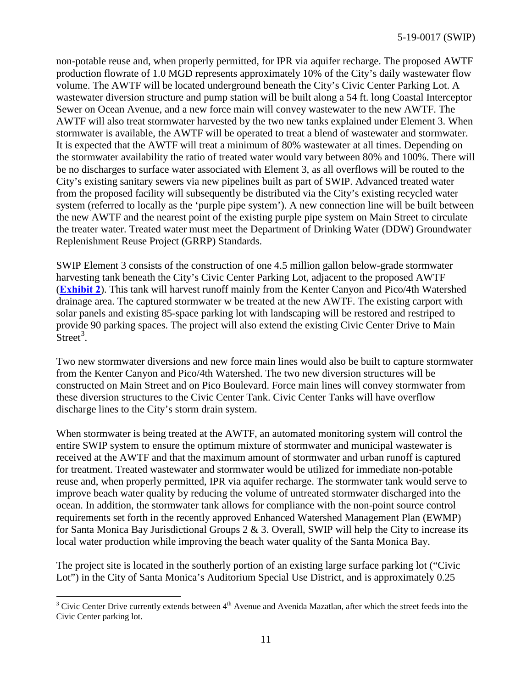non-potable reuse and, when properly permitted, for IPR via aquifer recharge. The proposed AWTF production flowrate of 1.0 MGD represents approximately 10% of the City's daily wastewater flow volume. The AWTF will be located underground beneath the City's Civic Center Parking Lot. A wastewater diversion structure and pump station will be built along a 54 ft. long Coastal Interceptor Sewer on Ocean Avenue, and a new force main will convey wastewater to the new AWTF. The AWTF will also treat stormwater harvested by the two new tanks explained under Element 3. When stormwater is available, the AWTF will be operated to treat a blend of wastewater and stormwater. It is expected that the AWTF will treat a minimum of 80% wastewater at all times. Depending on the stormwater availability the ratio of treated water would vary between 80% and 100%. There will be no discharges to surface water associated with Element 3, as all overflows will be routed to the City's existing sanitary sewers via new pipelines built as part of SWIP. Advanced treated water from the proposed facility will subsequently be distributed via the City's existing recycled water system (referred to locally as the 'purple pipe system'). A new connection line will be built between the new AWTF and the nearest point of the existing purple pipe system on Main Street to circulate the treater water. Treated water must meet the Department of Drinking Water (DDW) Groundwater Replenishment Reuse Project (GRRP) Standards.

SWIP Element 3 consists of the construction of one 4.5 million gallon below-grade stormwater harvesting tank beneath the City's Civic Center Parking Lot, adjacent to the proposed AWTF (**[Exhibit 2](https://documents.coastal.ca.gov/reports/2019/Th19a/Th19a--2019-exhibits.pdf)**). This tank will harvest runoff mainly from the Kenter Canyon and Pico/4th Watershed drainage area. The captured stormwater w be treated at the new AWTF. The existing carport with solar panels and existing 85-space parking lot with landscaping will be restored and restriped to provide 90 parking spaces. The project will also extend the existing Civic Center Drive to Main  $\text{Street}^3$  $\text{Street}^3$ .

Two new stormwater diversions and new force main lines would also be built to capture stormwater from the Kenter Canyon and Pico/4th Watershed. The two new diversion structures will be constructed on Main Street and on Pico Boulevard. Force main lines will convey stormwater from these diversion structures to the Civic Center Tank. Civic Center Tanks will have overflow discharge lines to the City's storm drain system.

When stormwater is being treated at the AWTF, an automated monitoring system will control the entire SWIP system to ensure the optimum mixture of stormwater and municipal wastewater is received at the AWTF and that the maximum amount of stormwater and urban runoff is captured for treatment. Treated wastewater and stormwater would be utilized for immediate non-potable reuse and, when properly permitted, IPR via aquifer recharge. The stormwater tank would serve to improve beach water quality by reducing the volume of untreated stormwater discharged into the ocean. In addition, the stormwater tank allows for compliance with the non-point source control requirements set forth in the recently approved Enhanced Watershed Management Plan (EWMP) for Santa Monica Bay Jurisdictional Groups  $2 \& 3$ . Overall, SWIP will help the City to increase its local water production while improving the beach water quality of the Santa Monica Bay.

The project site is located in the southerly portion of an existing large surface parking lot ("Civic Lot") in the City of Santa Monica's Auditorium Special Use District, and is approximately 0.25

 $\overline{a}$ 

<span id="page-10-0"></span> $3$  Civic Center Drive currently extends between  $4<sup>th</sup>$  Avenue and Avenida Mazatlan, after which the street feeds into the Civic Center parking lot.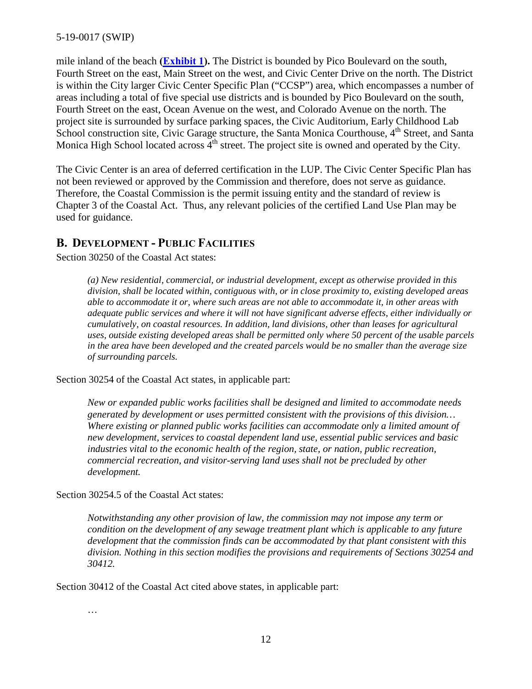mile inland of the beach **[\(Exhibit 1\)](https://documents.coastal.ca.gov/reports/2019/Th19a/Th19a--2019-exhibits.pdf).** The District is bounded by Pico Boulevard on the south, Fourth Street on the east, Main Street on the west, and Civic Center Drive on the north. The District is within the City larger Civic Center Specific Plan ("CCSP") area, which encompasses a number of areas including a total of five special use districts and is bounded by Pico Boulevard on the south, Fourth Street on the east, Ocean Avenue on the west, and Colorado Avenue on the north. The project site is surrounded by surface parking spaces, the Civic Auditorium, Early Childhood Lab School construction site, Civic Garage structure, the Santa Monica Courthouse, 4<sup>th</sup> Street, and Santa Monica High School located across  $4<sup>th</sup>$  street. The project site is owned and operated by the City.

The Civic Center is an area of deferred certification in the LUP. The Civic Center Specific Plan has not been reviewed or approved by the Commission and therefore, does not serve as guidance. Therefore, the Coastal Commission is the permit issuing entity and the standard of review is Chapter 3 of the Coastal Act. Thus, any relevant policies of the certified Land Use Plan may be used for guidance.

#### <span id="page-11-0"></span>**B. DEVELOPMENT - PUBLIC FACILITIES**

Section 30250 of the Coastal Act states:

*(a) New residential, commercial, or industrial development, except as otherwise provided in this division, shall be located within, contiguous with, or in close proximity to, existing developed areas able to accommodate it or, where such areas are not able to accommodate it, in other areas with adequate public services and where it will not have significant adverse effects, either individually or cumulatively, on coastal resources. In addition, land divisions, other than leases for agricultural uses, outside existing developed areas shall be permitted only where 50 percent of the usable parcels in the area have been developed and the created parcels would be no smaller than the average size of surrounding parcels.* 

Section 30254 of the Coastal Act states, in applicable part:

*New or expanded public works facilities shall be designed and limited to accommodate needs generated by development or uses permitted consistent with the provisions of this division… Where existing or planned public works facilities can accommodate only a limited amount of new development, services to coastal dependent land use, essential public services and basic industries vital to the economic health of the region, state, or nation, public recreation, commercial recreation, and visitor-serving land uses shall not be precluded by other development.* 

Section 30254.5 of the Coastal Act states:

*Notwithstanding any other provision of law, the commission may not impose any term or condition on the development of any sewage treatment plant which is applicable to any future development that the commission finds can be accommodated by that plant consistent with this division. Nothing in this section modifies the provisions and requirements of Sections 30254 and 30412.* 

Section 30412 of the Coastal Act cited above states, in applicable part:

…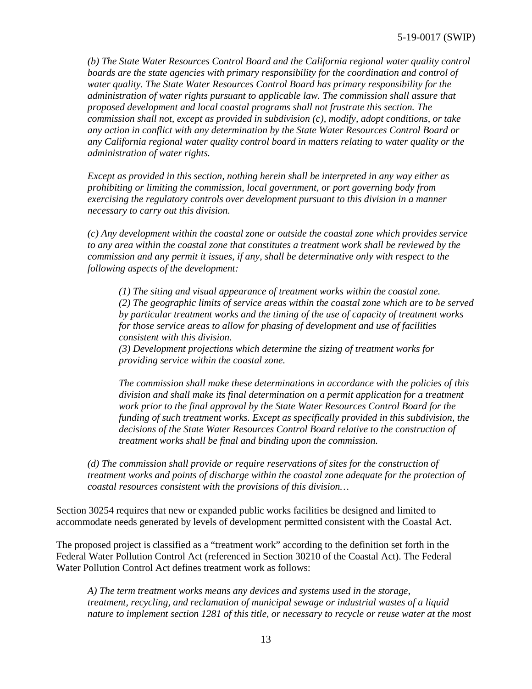*(b) The State Water Resources Control Board and the California regional water quality control boards are the state agencies with primary responsibility for the coordination and control of water quality. The State Water Resources Control Board has primary responsibility for the administration of water rights pursuant to applicable law. The commission shall assure that proposed development and local coastal programs shall not frustrate this section. The commission shall not, except as provided in subdivision (c), modify, adopt conditions, or take any action in conflict with any determination by the State Water Resources Control Board or any California regional water quality control board in matters relating to water quality or the administration of water rights.* 

*Except as provided in this section, nothing herein shall be interpreted in any way either as prohibiting or limiting the commission, local government, or port governing body from exercising the regulatory controls over development pursuant to this division in a manner necessary to carry out this division.* 

*(c) Any development within the coastal zone or outside the coastal zone which provides service to any area within the coastal zone that constitutes a treatment work shall be reviewed by the commission and any permit it issues, if any, shall be determinative only with respect to the following aspects of the development:*

*(1) The siting and visual appearance of treatment works within the coastal zone. (2) The geographic limits of service areas within the coastal zone which are to be served by particular treatment works and the timing of the use of capacity of treatment works for those service areas to allow for phasing of development and use of facilities consistent with this division.* 

*(3) Development projections which determine the sizing of treatment works for providing service within the coastal zone.* 

*The commission shall make these determinations in accordance with the policies of this division and shall make its final determination on a permit application for a treatment work prior to the final approval by the State Water Resources Control Board for the funding of such treatment works. Except as specifically provided in this subdivision, the decisions of the State Water Resources Control Board relative to the construction of treatment works shall be final and binding upon the commission.* 

*(d) The commission shall provide or require reservations of sites for the construction of treatment works and points of discharge within the coastal zone adequate for the protection of coastal resources consistent with the provisions of this division…* 

Section 30254 requires that new or expanded public works facilities be designed and limited to accommodate needs generated by levels of development permitted consistent with the Coastal Act.

The proposed project is classified as a "treatment work" according to the definition set forth in the Federal Water Pollution Control Act (referenced in Section 30210 of the Coastal Act). The Federal Water Pollution Control Act defines treatment work as follows:

*A) The term treatment works means any devices and systems used in the storage, treatment, recycling, and reclamation of municipal sewage or industrial wastes of a liquid nature to implement section 1281 of this title, or necessary to recycle or reuse water at the most*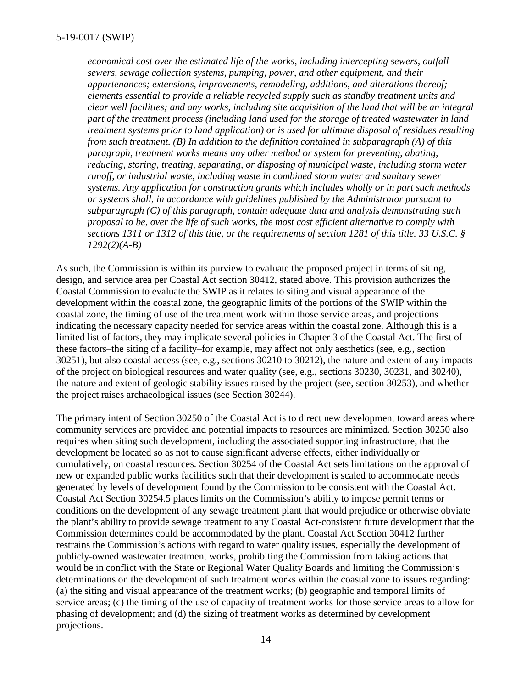*economical cost over the estimated life of the works, including intercepting sewers, outfall sewers, sewage collection systems, pumping, power, and other equipment, and their appurtenances; extensions, improvements, remodeling, additions, and alterations thereof; elements essential to provide a reliable recycled supply such as standby treatment units and clear well facilities; and any works, including site acquisition of the land that will be an integral part of the treatment process (including land used for the storage of treated wastewater in land treatment systems prior to land application) or is used for ultimate disposal of residues resulting from such treatment. (B) In addition to the definition contained in subparagraph (A) of this paragraph, treatment works means any other method or system for preventing, abating, reducing, storing, treating, separating, or disposing of municipal waste, including storm water runoff, or industrial waste, including waste in combined storm water and sanitary sewer systems. Any application for construction grants which includes wholly or in part such methods or systems shall, in accordance with guidelines published by the Administrator pursuant to subparagraph (C) of this paragraph, contain adequate data and analysis demonstrating such proposal to be, over the life of such works, the most cost efficient alternative to comply with sections 1311 or 1312 of this title, or the requirements of section 1281 of this title. 33 U.S.C. § 1292(2)(A-B)*

As such, the Commission is within its purview to evaluate the proposed project in terms of siting, design, and service area per Coastal Act section 30412, stated above. This provision authorizes the Coastal Commission to evaluate the SWIP as it relates to siting and visual appearance of the development within the coastal zone, the geographic limits of the portions of the SWIP within the coastal zone, the timing of use of the treatment work within those service areas, and projections indicating the necessary capacity needed for service areas within the coastal zone. Although this is a limited list of factors, they may implicate several policies in Chapter 3 of the Coastal Act. The first of these factors–the siting of a facility–for example, may affect not only aesthetics (see, e.g., section 30251), but also coastal access (see, e.g., sections 30210 to 30212), the nature and extent of any impacts of the project on biological resources and water quality (see, e.g., sections 30230, 30231, and 30240), the nature and extent of geologic stability issues raised by the project (see, section 30253), and whether the project raises archaeological issues (see Section 30244).

The primary intent of Section 30250 of the Coastal Act is to direct new development toward areas where community services are provided and potential impacts to resources are minimized. Section 30250 also requires when siting such development, including the associated supporting infrastructure, that the development be located so as not to cause significant adverse effects, either individually or cumulatively, on coastal resources. Section 30254 of the Coastal Act sets limitations on the approval of new or expanded public works facilities such that their development is scaled to accommodate needs generated by levels of development found by the Commission to be consistent with the Coastal Act. Coastal Act Section 30254.5 places limits on the Commission's ability to impose permit terms or conditions on the development of any sewage treatment plant that would prejudice or otherwise obviate the plant's ability to provide sewage treatment to any Coastal Act-consistent future development that the Commission determines could be accommodated by the plant. Coastal Act Section 30412 further restrains the Commission's actions with regard to water quality issues, especially the development of publicly-owned wastewater treatment works, prohibiting the Commission from taking actions that would be in conflict with the State or Regional Water Quality Boards and limiting the Commission's determinations on the development of such treatment works within the coastal zone to issues regarding: (a) the siting and visual appearance of the treatment works; (b) geographic and temporal limits of service areas; (c) the timing of the use of capacity of treatment works for those service areas to allow for phasing of development; and (d) the sizing of treatment works as determined by development projections.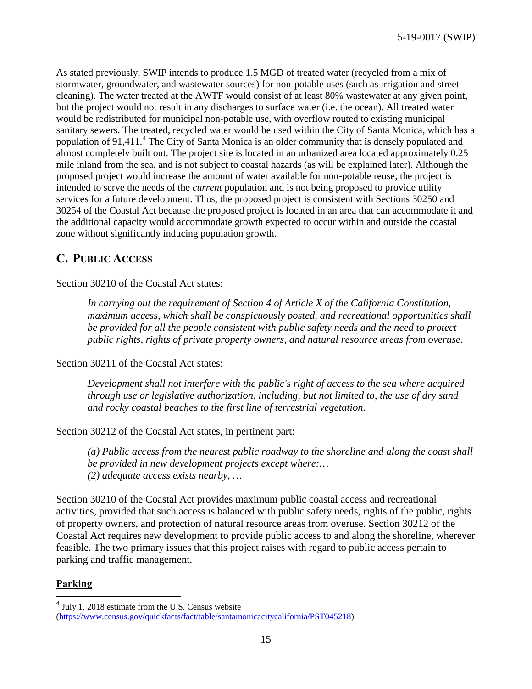As stated previously, SWIP intends to produce 1.5 MGD of treated water (recycled from a mix of stormwater, groundwater, and wastewater sources) for non-potable uses (such as irrigation and street cleaning). The water treated at the AWTF would consist of at least 80% wastewater at any given point, but the project would not result in any discharges to surface water (i.e. the ocean). All treated water would be redistributed for municipal non-potable use, with overflow routed to existing municipal sanitary sewers. The treated, recycled water would be used within the City of Santa Monica, which has a population of 91,[4](#page-14-1)11.<sup>4</sup> The City of Santa Monica is an older community that is densely populated and almost completely built out. The project site is located in an urbanized area located approximately 0.25 mile inland from the sea, and is not subject to coastal hazards (as will be explained later). Although the proposed project would increase the amount of water available for non-potable reuse, the project is intended to serve the needs of the *current* population and is not being proposed to provide utility services for a future development. Thus, the proposed project is consistent with Sections 30250 and 30254 of the Coastal Act because the proposed project is located in an area that can accommodate it and the additional capacity would accommodate growth expected to occur within and outside the coastal zone without significantly inducing population growth.

## <span id="page-14-0"></span>**C. PUBLIC ACCESS**

Section 30210 of the Coastal Act states:

*In carrying out the requirement of Section 4 of Article X of the California Constitution, maximum access, which shall be conspicuously posted, and recreational opportunities shall be provided for all the people consistent with public safety needs and the need to protect public rights, rights of private property owners, and natural resource areas from overuse*.

Section 30211 of the Coastal Act states:

*Development shall not interfere with the public's right of access to the sea where acquired through use or legislative authorization, including, but not limited to, the use of dry sand and rocky coastal beaches to the first line of terrestrial vegetation.* 

Section 30212 of the Coastal Act states, in pertinent part:

*(a) Public access from the nearest public roadway to the shoreline and along the coast shall be provided in new development projects except where:… (2) adequate access exists nearby, …*

Section 30210 of the Coastal Act provides maximum public coastal access and recreational activities, provided that such access is balanced with public safety needs, rights of the public, rights of property owners, and protection of natural resource areas from overuse. Section 30212 of the Coastal Act requires new development to provide public access to and along the shoreline, wherever feasible. The two primary issues that this project raises with regard to public access pertain to parking and traffic management.

#### **Parking**

 $\overline{a}$ 

<span id="page-14-1"></span> $^{4}$  July 1, 2018 estimate from the U.S. Census website [\(https://www.census.gov/quickfacts/fact/table/santamonicacitycalifornia/PST045218\)](https://www.census.gov/quickfacts/fact/table/santamonicacitycalifornia/PST045218)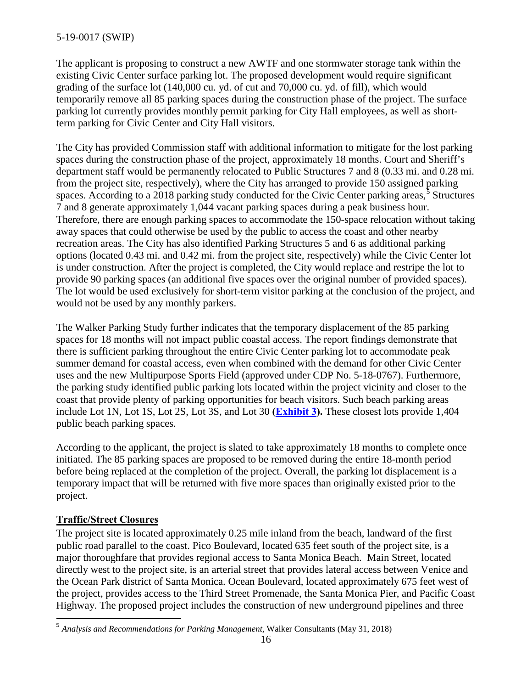The applicant is proposing to construct a new AWTF and one stormwater storage tank within the existing Civic Center surface parking lot. The proposed development would require significant grading of the surface lot (140,000 cu. yd. of cut and 70,000 cu. yd. of fill), which would temporarily remove all 85 parking spaces during the construction phase of the project. The surface parking lot currently provides monthly permit parking for City Hall employees, as well as shortterm parking for Civic Center and City Hall visitors.

The City has provided Commission staff with additional information to mitigate for the lost parking spaces during the construction phase of the project, approximately 18 months. Court and Sheriff's department staff would be permanently relocated to Public Structures 7 and 8 (0.33 mi. and 0.28 mi. from the project site, respectively), where the City has arranged to provide 150 assigned parking spaces. According to a 2018 parking study conducted for the Civic Center parking areas,<sup>[5](#page-15-0)</sup> Structures 7 and 8 generate approximately 1,044 vacant parking spaces during a peak business hour. Therefore, there are enough parking spaces to accommodate the 150-space relocation without taking away spaces that could otherwise be used by the public to access the coast and other nearby recreation areas. The City has also identified Parking Structures 5 and 6 as additional parking options (located 0.43 mi. and 0.42 mi. from the project site, respectively) while the Civic Center lot is under construction. After the project is completed, the City would replace and restripe the lot to provide 90 parking spaces (an additional five spaces over the original number of provided spaces). The lot would be used exclusively for short-term visitor parking at the conclusion of the project, and would not be used by any monthly parkers.

The Walker Parking Study further indicates that the temporary displacement of the 85 parking spaces for 18 months will not impact public coastal access. The report findings demonstrate that there is sufficient parking throughout the entire Civic Center parking lot to accommodate peak summer demand for coastal access, even when combined with the demand for other Civic Center uses and the new Multipurpose Sports Field (approved under CDP No. 5-18-0767). Furthermore, the parking study identified public parking lots located within the project vicinity and closer to the coast that provide plenty of parking opportunities for beach visitors. Such beach parking areas include Lot 1N, Lot 1S, Lot 2S, Lot 3S, and Lot 30 **[\(Exhibit 3\)](https://documents.coastal.ca.gov/reports/2019/Th19a/Th19a--2019-exhibits.pdf).** These closest lots provide 1,404 public beach parking spaces.

According to the applicant, the project is slated to take approximately 18 months to complete once initiated. The 85 parking spaces are proposed to be removed during the entire 18-month period before being replaced at the completion of the project. Overall, the parking lot displacement is a temporary impact that will be returned with five more spaces than originally existed prior to the project.

## **Traffic/Street Closures**

The project site is located approximately 0.25 mile inland from the beach, landward of the first public road parallel to the coast. Pico Boulevard, located 635 feet south of the project site, is a major thoroughfare that provides regional access to Santa Monica Beach. Main Street, located directly west to the project site, is an arterial street that provides lateral access between Venice and the Ocean Park district of Santa Monica. Ocean Boulevard, located approximately 675 feet west of the project, provides access to the Third Street Promenade, the Santa Monica Pier, and Pacific Coast Highway. The proposed project includes the construction of new underground pipelines and three

<span id="page-15-0"></span> $\overline{a}$ <sup>5</sup> *Analysis and Recommendations for Parking Management,* Walker Consultants (May 31, 2018)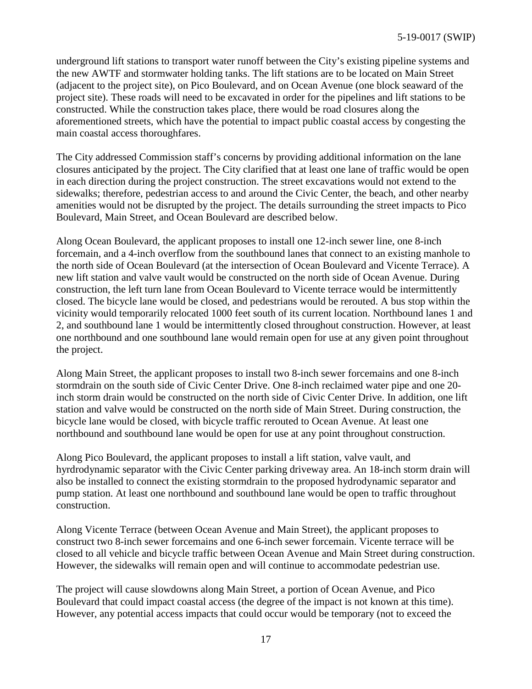underground lift stations to transport water runoff between the City's existing pipeline systems and the new AWTF and stormwater holding tanks. The lift stations are to be located on Main Street (adjacent to the project site), on Pico Boulevard, and on Ocean Avenue (one block seaward of the project site). These roads will need to be excavated in order for the pipelines and lift stations to be constructed. While the construction takes place, there would be road closures along the aforementioned streets, which have the potential to impact public coastal access by congesting the main coastal access thoroughfares.

The City addressed Commission staff's concerns by providing additional information on the lane closures anticipated by the project. The City clarified that at least one lane of traffic would be open in each direction during the project construction. The street excavations would not extend to the sidewalks; therefore, pedestrian access to and around the Civic Center, the beach, and other nearby amenities would not be disrupted by the project. The details surrounding the street impacts to Pico Boulevard, Main Street, and Ocean Boulevard are described below.

Along Ocean Boulevard, the applicant proposes to install one 12-inch sewer line, one 8-inch forcemain, and a 4-inch overflow from the southbound lanes that connect to an existing manhole to the north side of Ocean Boulevard (at the intersection of Ocean Boulevard and Vicente Terrace). A new lift station and valve vault would be constructed on the north side of Ocean Avenue. During construction, the left turn lane from Ocean Boulevard to Vicente terrace would be intermittently closed. The bicycle lane would be closed, and pedestrians would be rerouted. A bus stop within the vicinity would temporarily relocated 1000 feet south of its current location. Northbound lanes 1 and 2, and southbound lane 1 would be intermittently closed throughout construction. However, at least one northbound and one southbound lane would remain open for use at any given point throughout the project.

Along Main Street, the applicant proposes to install two 8-inch sewer forcemains and one 8-inch stormdrain on the south side of Civic Center Drive. One 8-inch reclaimed water pipe and one 20 inch storm drain would be constructed on the north side of Civic Center Drive. In addition, one lift station and valve would be constructed on the north side of Main Street. During construction, the bicycle lane would be closed, with bicycle traffic rerouted to Ocean Avenue. At least one northbound and southbound lane would be open for use at any point throughout construction.

Along Pico Boulevard, the applicant proposes to install a lift station, valve vault, and hyrdrodynamic separator with the Civic Center parking driveway area. An 18-inch storm drain will also be installed to connect the existing stormdrain to the proposed hydrodynamic separator and pump station. At least one northbound and southbound lane would be open to traffic throughout construction.

Along Vicente Terrace (between Ocean Avenue and Main Street), the applicant proposes to construct two 8-inch sewer forcemains and one 6-inch sewer forcemain. Vicente terrace will be closed to all vehicle and bicycle traffic between Ocean Avenue and Main Street during construction. However, the sidewalks will remain open and will continue to accommodate pedestrian use.

The project will cause slowdowns along Main Street, a portion of Ocean Avenue, and Pico Boulevard that could impact coastal access (the degree of the impact is not known at this time). However, any potential access impacts that could occur would be temporary (not to exceed the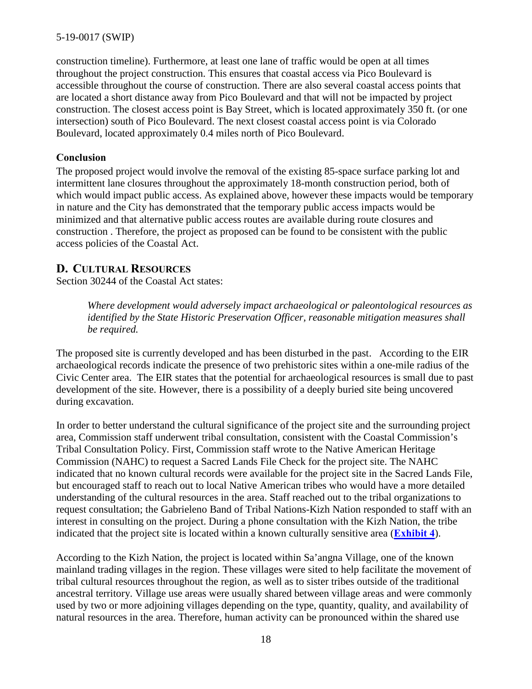construction timeline). Furthermore, at least one lane of traffic would be open at all times throughout the project construction. This ensures that coastal access via Pico Boulevard is accessible throughout the course of construction. There are also several coastal access points that are located a short distance away from Pico Boulevard and that will not be impacted by project construction. The closest access point is Bay Street, which is located approximately 350 ft. (or one intersection) south of Pico Boulevard. The next closest coastal access point is via Colorado Boulevard, located approximately 0.4 miles north of Pico Boulevard.

#### **Conclusion**

The proposed project would involve the removal of the existing 85-space surface parking lot and intermittent lane closures throughout the approximately 18-month construction period, both of which would impact public access. As explained above, however these impacts would be temporary in nature and the City has demonstrated that the temporary public access impacts would be minimized and that alternative public access routes are available during route closures and construction . Therefore, the project as proposed can be found to be consistent with the public access policies of the Coastal Act.

## <span id="page-17-0"></span>**D. CULTURAL RESOURCES**

Section 30244 of the Coastal Act states:

*Where development would adversely impact archaeological or paleontological resources as identified by the State Historic Preservation Officer, reasonable mitigation measures shall be required.* 

The proposed site is currently developed and has been disturbed in the past. According to the EIR archaeological records indicate the presence of two prehistoric sites within a one-mile radius of the Civic Center area. The EIR states that the potential for archaeological resources is small due to past development of the site. However, there is a possibility of a deeply buried site being uncovered during excavation.

In order to better understand the cultural significance of the project site and the surrounding project area, Commission staff underwent tribal consultation, consistent with the Coastal Commission's Tribal Consultation Policy. First, Commission staff wrote to the Native American Heritage Commission (NAHC) to request a Sacred Lands File Check for the project site. The NAHC indicated that no known cultural records were available for the project site in the Sacred Lands File, but encouraged staff to reach out to local Native American tribes who would have a more detailed understanding of the cultural resources in the area. Staff reached out to the tribal organizations to request consultation; the Gabrieleno Band of Tribal Nations-Kizh Nation responded to staff with an interest in consulting on the project. During a phone consultation with the Kizh Nation, the tribe indicated that the project site is located within a known culturally sensitive area (**[Exhibit 4](https://documents.coastal.ca.gov/reports/2019/Th19a/Th19a--2019-exhibits.pdf)**).

According to the Kizh Nation, the project is located within Sa'angna Village, one of the known mainland trading villages in the region. These villages were sited to help facilitate the movement of tribal cultural resources throughout the region, as well as to sister tribes outside of the traditional ancestral territory. Village use areas were usually shared between village areas and were commonly used by two or more adjoining villages depending on the type, quantity, quality, and availability of natural resources in the area. Therefore, human activity can be pronounced within the shared use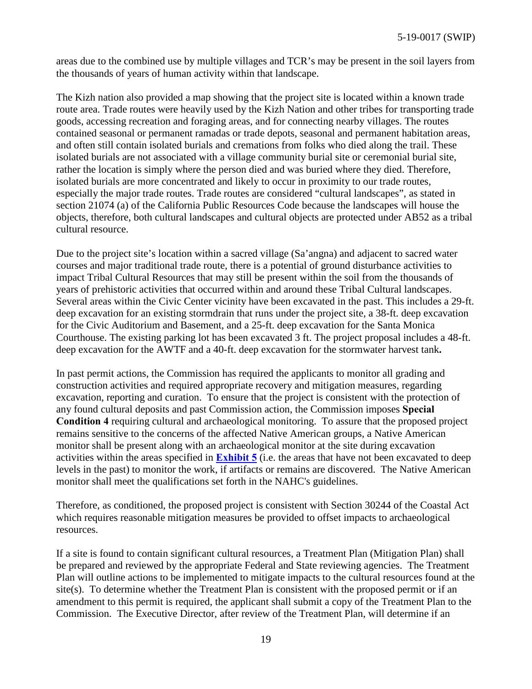areas due to the combined use by multiple villages and TCR's may be present in the soil layers from the thousands of years of human activity within that landscape.

The Kizh nation also provided a map showing that the project site is located within a known trade route area. Trade routes were heavily used by the Kizh Nation and other tribes for transporting trade goods, accessing recreation and foraging areas, and for connecting nearby villages. The routes contained seasonal or permanent ramadas or trade depots, seasonal and permanent habitation areas, and often still contain isolated burials and cremations from folks who died along the trail. These isolated burials are not associated with a village community burial site or ceremonial burial site, rather the location is simply where the person died and was buried where they died. Therefore, isolated burials are more concentrated and likely to occur in proximity to our trade routes, especially the major trade routes. Trade routes are considered "cultural landscapes", as stated in section 21074 (a) of the California Public Resources Code because the landscapes will house the objects, therefore, both cultural landscapes and cultural objects are protected under AB52 as a tribal cultural resource.

Due to the project site's location within a sacred village (Sa'angna) and adjacent to sacred water courses and major traditional trade route, there is a potential of ground disturbance activities to impact Tribal Cultural Resources that may still be present within the soil from the thousands of years of prehistoric activities that occurred within and around these Tribal Cultural landscapes. Several areas within the Civic Center vicinity have been excavated in the past. This includes a 29-ft. deep excavation for an existing stormdrain that runs under the project site, a 38-ft. deep excavation for the Civic Auditorium and Basement, and a 25-ft. deep excavation for the Santa Monica Courthouse. The existing parking lot has been excavated 3 ft. The project proposal includes a 48-ft. deep excavation for the AWTF and a 40-ft. deep excavation for the stormwater harvest tank**.**

In past permit actions, the Commission has required the applicants to monitor all grading and construction activities and required appropriate recovery and mitigation measures, regarding excavation, reporting and curation. To ensure that the project is consistent with the protection of any found cultural deposits and past Commission action, the Commission imposes **Special Condition 4** requiring cultural and archaeological monitoring. To assure that the proposed project remains sensitive to the concerns of the affected Native American groups, a Native American monitor shall be present along with an archaeological monitor at the site during excavation activities within the areas specified in **[Exhibit 5](https://documents.coastal.ca.gov/reports/2019/Th19a/Th19a--2019-exhibits.pdf)** (i.e. the areas that have not been excavated to deep levels in the past) to monitor the work, if artifacts or remains are discovered. The Native American monitor shall meet the qualifications set forth in the NAHC's guidelines.

Therefore, as conditioned, the proposed project is consistent with Section 30244 of the Coastal Act which requires reasonable mitigation measures be provided to offset impacts to archaeological resources.

If a site is found to contain significant cultural resources, a Treatment Plan (Mitigation Plan) shall be prepared and reviewed by the appropriate Federal and State reviewing agencies. The Treatment Plan will outline actions to be implemented to mitigate impacts to the cultural resources found at the site(s). To determine whether the Treatment Plan is consistent with the proposed permit or if an amendment to this permit is required, the applicant shall submit a copy of the Treatment Plan to the Commission. The Executive Director, after review of the Treatment Plan, will determine if an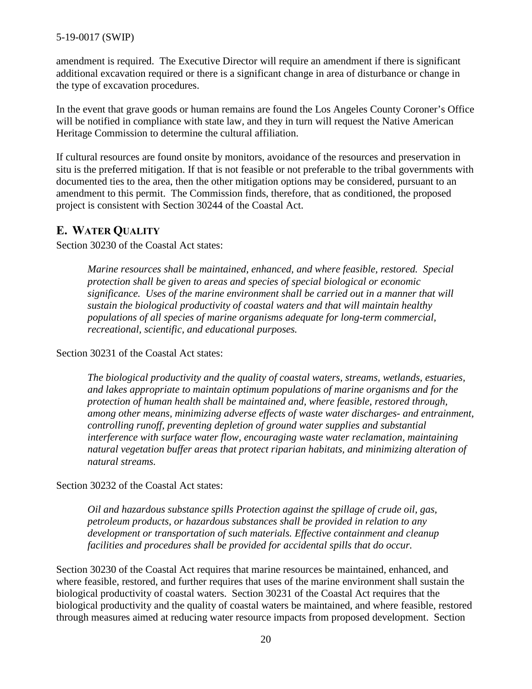amendment is required. The Executive Director will require an amendment if there is significant additional excavation required or there is a significant change in area of disturbance or change in the type of excavation procedures.

In the event that grave goods or human remains are found the Los Angeles County Coroner's Office will be notified in compliance with state law, and they in turn will request the Native American Heritage Commission to determine the cultural affiliation.

If cultural resources are found onsite by monitors, avoidance of the resources and preservation in situ is the preferred mitigation. If that is not feasible or not preferable to the tribal governments with documented ties to the area, then the other mitigation options may be considered, pursuant to an amendment to this permit. The Commission finds, therefore, that as conditioned, the proposed project is consistent with Section 30244 of the Coastal Act.

#### <span id="page-19-0"></span>**E. WATER QUALITY**

Section 30230 of the Coastal Act states:

*Marine resources shall be maintained, enhanced, and where feasible, restored. Special protection shall be given to areas and species of special biological or economic significance. Uses of the marine environment shall be carried out in a manner that will sustain the biological productivity of coastal waters and that will maintain healthy populations of all species of marine organisms adequate for long-term commercial, recreational, scientific, and educational purposes.* 

Section 30231 of the Coastal Act states:

*The biological productivity and the quality of coastal waters, streams, wetlands, estuaries, and lakes appropriate to maintain optimum populations of marine organisms and for the protection of human health shall be maintained and, where feasible, restored through, among other means, minimizing adverse effects of waste water discharges- and entrainment, controlling runoff, preventing depletion of ground water supplies and substantial interference with surface water flow, encouraging waste water reclamation, maintaining natural vegetation buffer areas that protect riparian habitats, and minimizing alteration of natural streams.* 

Section 30232 of the Coastal Act states:

*Oil and hazardous substance spills Protection against the spillage of crude oil, gas, petroleum products, or hazardous substances shall be provided in relation to any development or transportation of such materials. Effective containment and cleanup facilities and procedures shall be provided for accidental spills that do occur.* 

Section 30230 of the Coastal Act requires that marine resources be maintained, enhanced, and where feasible, restored, and further requires that uses of the marine environment shall sustain the biological productivity of coastal waters. Section 30231 of the Coastal Act requires that the biological productivity and the quality of coastal waters be maintained, and where feasible, restored through measures aimed at reducing water resource impacts from proposed development. Section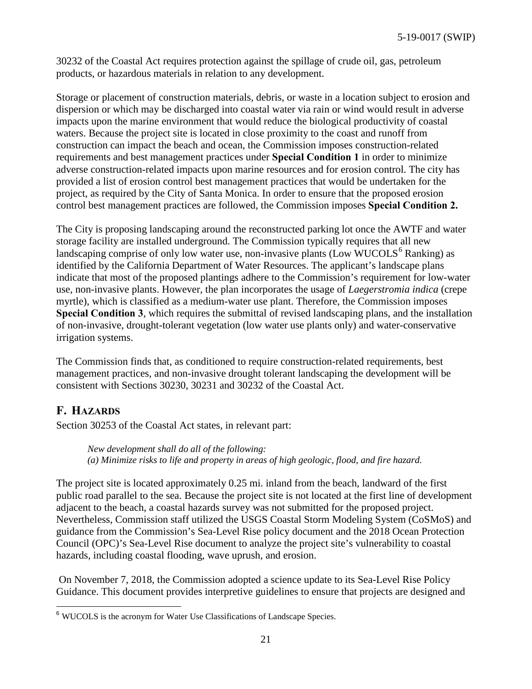30232 of the Coastal Act requires protection against the spillage of crude oil, gas, petroleum products, or hazardous materials in relation to any development.

Storage or placement of construction materials, debris, or waste in a location subject to erosion and dispersion or which may be discharged into coastal water via rain or wind would result in adverse impacts upon the marine environment that would reduce the biological productivity of coastal waters. Because the project site is located in close proximity to the coast and runoff from construction can impact the beach and ocean, the Commission imposes construction-related requirements and best management practices under **Special Condition 1** in order to minimize adverse construction-related impacts upon marine resources and for erosion control. The city has provided a list of erosion control best management practices that would be undertaken for the project, as required by the City of Santa Monica. In order to ensure that the proposed erosion control best management practices are followed, the Commission imposes **Special Condition 2.** 

The City is proposing landscaping around the reconstructed parking lot once the AWTF and water storage facility are installed underground. The Commission typically requires that all new landscaping comprise of only low water use, non-invasive plants (Low WUCOLS $^6$  $^6$  Ranking) as identified by the California Department of Water Resources. The applicant's landscape plans indicate that most of the proposed plantings adhere to the Commission's requirement for low-water use, non-invasive plants. However, the plan incorporates the usage of *Laegerstromia indica* (crepe myrtle), which is classified as a medium-water use plant. Therefore, the Commission imposes **Special Condition 3**, which requires the submittal of revised landscaping plans, and the installation of non-invasive, drought-tolerant vegetation (low water use plants only) and water-conservative irrigation systems.

The Commission finds that, as conditioned to require construction-related requirements, best management practices, and non-invasive drought tolerant landscaping the development will be consistent with Sections 30230, 30231 and 30232 of the Coastal Act.

## <span id="page-20-0"></span>**F. HAZARDS**

Section 30253 of the Coastal Act states, in relevant part:

*New development shall do all of the following: (a) Minimize risks to life and property in areas of high geologic, flood, and fire hazard.*

The project site is located approximately 0.25 mi. inland from the beach, landward of the first public road parallel to the sea. Because the project site is not located at the first line of development adjacent to the beach, a coastal hazards survey was not submitted for the proposed project. Nevertheless, Commission staff utilized the USGS Coastal Storm Modeling System (CoSMoS) and guidance from the Commission's Sea-Level Rise policy document and the 2018 Ocean Protection Council (OPC)'s Sea-Level Rise document to analyze the project site's vulnerability to coastal hazards, including coastal flooding, wave uprush, and erosion.

 On November 7, 2018, the Commission adopted a science update to its Sea-Level Rise Policy Guidance. This document provides interpretive guidelines to ensure that projects are designed and

<span id="page-20-1"></span> $\overline{\phantom{a}}$ <sup>6</sup> WUCOLS is the acronym for Water Use Classifications of Landscape Species.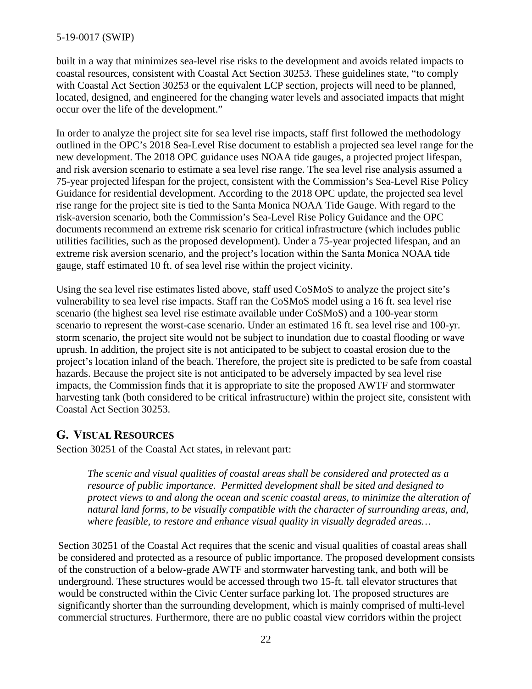built in a way that minimizes sea-level rise risks to the development and avoids related impacts to coastal resources, consistent with Coastal Act Section 30253. These guidelines state, "to comply with Coastal Act Section 30253 or the equivalent LCP section, projects will need to be planned, located, designed, and engineered for the changing water levels and associated impacts that might occur over the life of the development."

In order to analyze the project site for sea level rise impacts, staff first followed the methodology outlined in the OPC's 2018 Sea-Level Rise document to establish a projected sea level range for the new development. The 2018 OPC guidance uses NOAA tide gauges, a projected project lifespan, and risk aversion scenario to estimate a sea level rise range. The sea level rise analysis assumed a 75-year projected lifespan for the project, consistent with the Commission's Sea-Level Rise Policy Guidance for residential development. According to the 2018 OPC update, the projected sea level rise range for the project site is tied to the Santa Monica NOAA Tide Gauge. With regard to the risk-aversion scenario, both the Commission's Sea-Level Rise Policy Guidance and the OPC documents recommend an extreme risk scenario for critical infrastructure (which includes public utilities facilities, such as the proposed development). Under a 75-year projected lifespan, and an extreme risk aversion scenario, and the project's location within the Santa Monica NOAA tide gauge, staff estimated 10 ft. of sea level rise within the project vicinity.

Using the sea level rise estimates listed above, staff used CoSMoS to analyze the project site's vulnerability to sea level rise impacts. Staff ran the CoSMoS model using a 16 ft. sea level rise scenario (the highest sea level rise estimate available under CoSMoS) and a 100-year storm scenario to represent the worst-case scenario. Under an estimated 16 ft. sea level rise and 100-yr. storm scenario, the project site would not be subject to inundation due to coastal flooding or wave uprush. In addition, the project site is not anticipated to be subject to coastal erosion due to the project's location inland of the beach. Therefore, the project site is predicted to be safe from coastal hazards. Because the project site is not anticipated to be adversely impacted by sea level rise impacts, the Commission finds that it is appropriate to site the proposed AWTF and stormwater harvesting tank (both considered to be critical infrastructure) within the project site, consistent with Coastal Act Section 30253.

## <span id="page-21-0"></span>**G. VISUAL RESOURCES**

Section 30251 of the Coastal Act states, in relevant part:

*The scenic and visual qualities of coastal areas shall be considered and protected as a resource of public importance. Permitted development shall be sited and designed to protect views to and along the ocean and scenic coastal areas, to minimize the alteration of natural land forms, to be visually compatible with the character of surrounding areas, and, where feasible, to restore and enhance visual quality in visually degraded areas…* 

Section 30251 of the Coastal Act requires that the scenic and visual qualities of coastal areas shall be considered and protected as a resource of public importance. The proposed development consists of the construction of a below-grade AWTF and stormwater harvesting tank, and both will be underground. These structures would be accessed through two 15-ft. tall elevator structures that would be constructed within the Civic Center surface parking lot. The proposed structures are significantly shorter than the surrounding development, which is mainly comprised of multi-level commercial structures. Furthermore, there are no public coastal view corridors within the project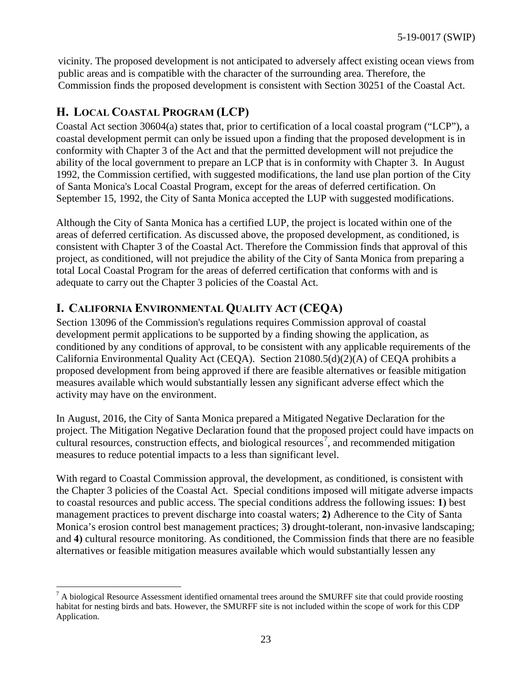vicinity. The proposed development is not anticipated to adversely affect existing ocean views from public areas and is compatible with the character of the surrounding area. Therefore, the Commission finds the proposed development is consistent with Section 30251 of the Coastal Act.

## <span id="page-22-0"></span>**H. LOCAL COASTAL PROGRAM (LCP)**

Coastal Act section 30604(a) states that, prior to certification of a local coastal program ("LCP"), a coastal development permit can only be issued upon a finding that the proposed development is in conformity with Chapter 3 of the Act and that the permitted development will not prejudice the ability of the local government to prepare an LCP that is in conformity with Chapter 3. In August 1992, the Commission certified, with suggested modifications, the land use plan portion of the City of Santa Monica's Local Coastal Program, except for the areas of deferred certification. On September 15, 1992, the City of Santa Monica accepted the LUP with suggested modifications.

Although the City of Santa Monica has a certified LUP, the project is located within one of the areas of deferred certification. As discussed above, the proposed development, as conditioned, is consistent with Chapter 3 of the Coastal Act. Therefore the Commission finds that approval of this project, as conditioned, will not prejudice the ability of the City of Santa Monica from preparing a total Local Coastal Program for the areas of deferred certification that conforms with and is adequate to carry out the Chapter 3 policies of the Coastal Act.

## <span id="page-22-1"></span>**I. CALIFORNIA ENVIRONMENTAL QUALITY ACT (CEQA)**

Section 13096 of the Commission's regulations requires Commission approval of coastal development permit applications to be supported by a finding showing the application, as conditioned by any conditions of approval, to be consistent with any applicable requirements of the California Environmental Quality Act (CEQA). Section 21080.5(d)(2)(A) of CEQA prohibits a proposed development from being approved if there are feasible alternatives or feasible mitigation measures available which would substantially lessen any significant adverse effect which the activity may have on the environment.

In August, 2016, the City of Santa Monica prepared a Mitigated Negative Declaration for the project. The Mitigation Negative Declaration found that the proposed project could have impacts on cultural resources, construction effects, and biological resources<sup>[7](#page-22-2)</sup>, and recommended mitigation measures to reduce potential impacts to a less than significant level.

With regard to Coastal Commission approval, the development, as conditioned, is consistent with the Chapter 3 policies of the Coastal Act. Special conditions imposed will mitigate adverse impacts to coastal resources and public access. The special conditions address the following issues: **1)** best management practices to prevent discharge into coastal waters; **2)** Adherence to the City of Santa Monica's erosion control best management practices; 3**)** drought-tolerant, non-invasive landscaping; and **4)** cultural resource monitoring. As conditioned, the Commission finds that there are no feasible alternatives or feasible mitigation measures available which would substantially lessen any

<span id="page-22-2"></span> $\overline{a}$  $^7$  A biological Resource Assessment identified ornamental trees around the SMURFF site that could provide roosting habitat for nesting birds and bats. However, the SMURFF site is not included within the scope of work for this CDP Application.